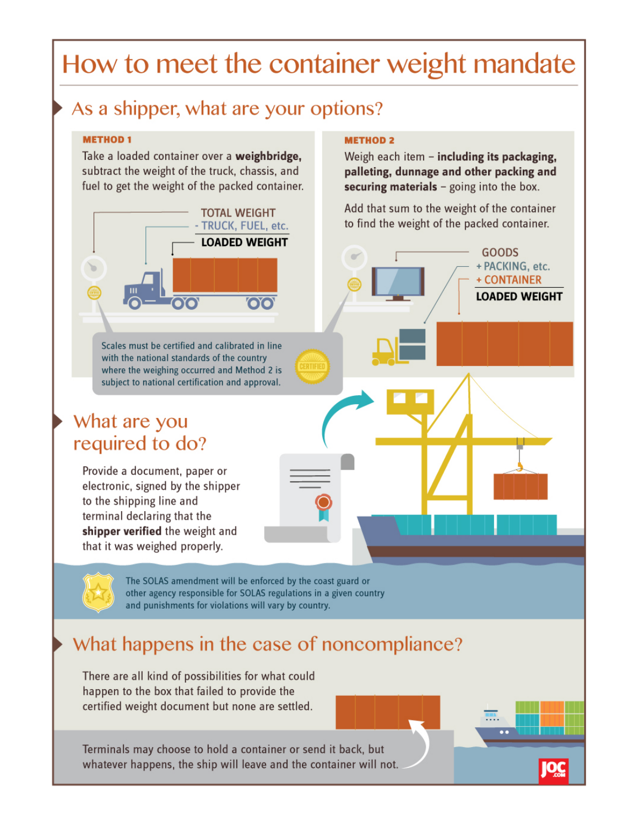# How to meet the container weight mandate

### As a shipper, what are your options?

#### **METHOD1**

Take a loaded container over a weighbridge, subtract the weight of the truck, chassis, and fuel to get the weight of the packed container.



Scales must be certified and calibrated in line with the national standards of the country where the weighing occurred and Method 2 is subject to national certification and approval.

### What are you required to do?

Provide a document, paper or electronic, signed by the shipper to the shipping line and terminal declaring that the shipper verified the weight and that it was weighed properly.

#### **METHOD 2**

Weigh each item - including its packaging, palleting, dunnage and other packing and securing materials - going into the box.

Add that sum to the weight of the container to find the weight of the packed container.



The SOLAS amendment will be enforced by the coast guard or other agency responsible for SOLAS regulations in a given country and punishments for violations will vary by country.

### What happens in the case of noncompliance?

There are all kind of possibilities for what could happen to the box that failed to provide the certified weight document but none are settled.

Terminals may choose to hold a container or send it back, but whatever happens, the ship will leave and the container will not.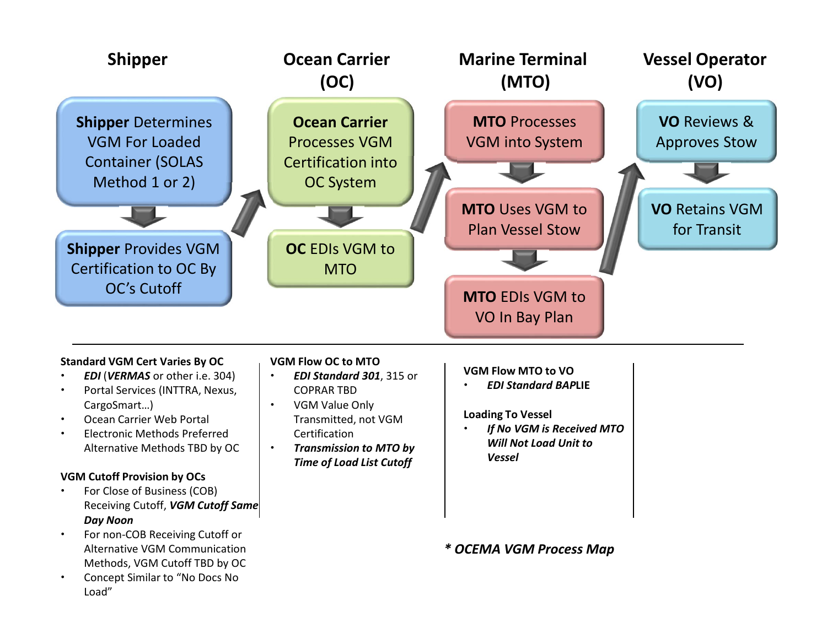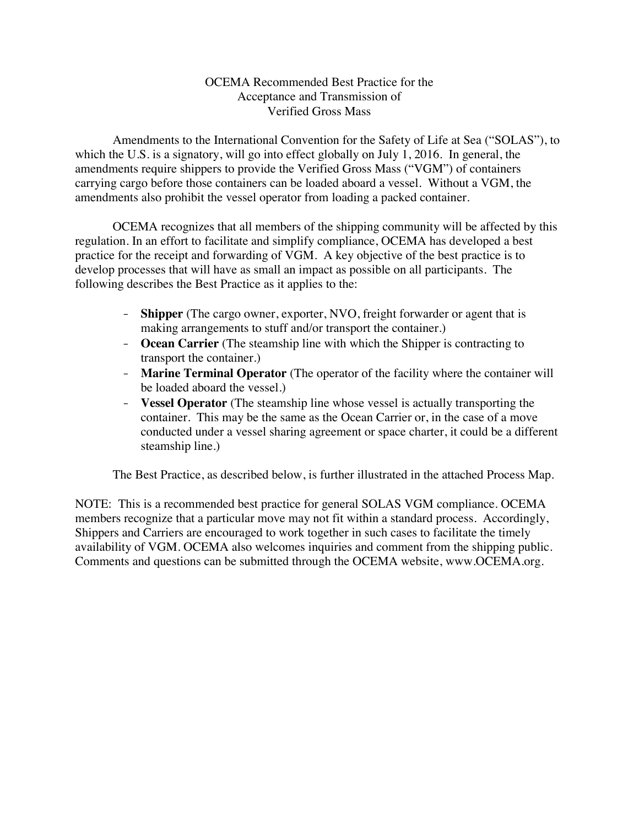#### OCEMA Recommended Best Practice for the Acceptance and Transmission of Verified Gross Mass

 Amendments to the International Convention for the Safety of Life at Sea ("SOLAS"), to which the U.S. is a signatory, will go into effect globally on July 1, 2016. In general, the amendments require shippers to provide the Verified Gross Mass ("VGM") of containers carrying cargo before those containers can be loaded aboard a vessel. Without a VGM, the amendments also prohibit the vessel operator from loading a packed container.

 OCEMA recognizes that all members of the shipping community will be affected by this regulation. In an effort to facilitate and simplify compliance, OCEMA has developed a best practice for the receipt and forwarding of VGM. A key objective of the best practice is to develop processes that will have as small an impact as possible on all participants. The following describes the Best Practice as it applies to the:

- **Shipper** (The cargo owner, exporter, NVO, freight forwarder or agent that is making arrangements to stuff and/or transport the container.)
- **Ocean Carrier** (The steamship line with which the Shipper is contracting to transport the container.)
- **Marine Terminal Operator** (The operator of the facility where the container will be loaded aboard the vessel.)
- **Vessel Operator** (The steamship line whose vessel is actually transporting the container. This may be the same as the Ocean Carrier or, in the case of a move conducted under a vessel sharing agreement or space charter, it could be a different steamship line.)

The Best Practice, as described below, is further illustrated in the attached Process Map.

NOTE: This is a recommended best practice for general SOLAS VGM compliance. OCEMA members recognize that a particular move may not fit within a standard process. Accordingly, Shippers and Carriers are encouraged to work together in such cases to facilitate the timely availability of VGM. OCEMA also welcomes inquiries and comment from the shipping public. Comments and questions can be submitted through the OCEMA website, www.OCEMA.org.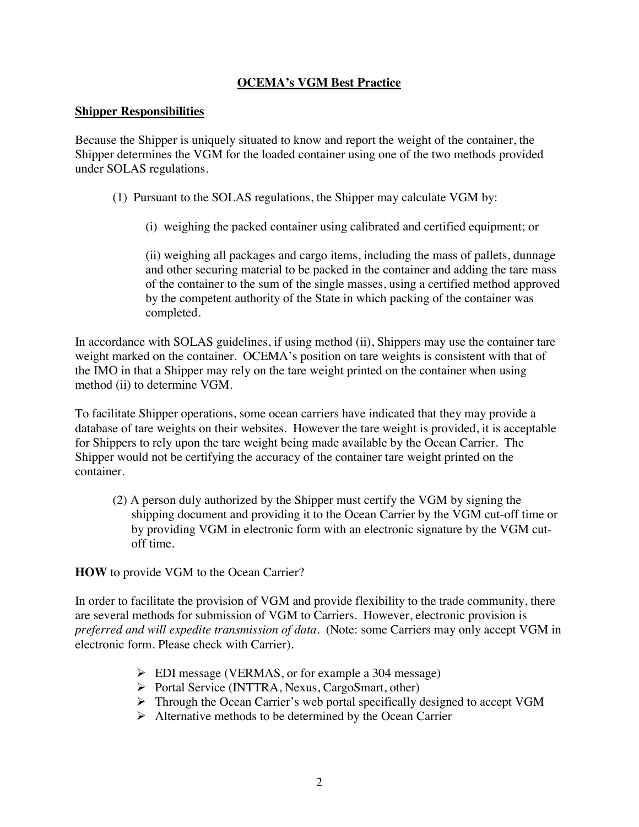#### **OCEMA's VGM Best Practice**

#### **Shipper Responsibilities**

Because the Shipper is uniquely situated to know and report the weight of the container, the Shipper determines the VGM for the loaded container using one of the two methods provided under SOLAS regulations.

- (1) Pursuant to the SOLAS regulations, the Shipper may calculate VGM by:
	- (i) weighing the packed container using calibrated and certified equipment; or

(ii) weighing all packages and cargo items, including the mass of pallets, dunnage and other securing material to be packed in the container and adding the tare mass of the container to the sum of the single masses, using a certified method approved by the competent authority of the State in which packing of the container was completed.

In accordance with SOLAS guidelines, if using method (ii), Shippers may use the container tare weight marked on the container. OCEMA's position on tare weights is consistent with that of the IMO in that a Shipper may rely on the tare weight printed on the container when using method (ii) to determine VGM.

To facilitate Shipper operations, some ocean carriers have indicated that they may provide a database of tare weights on their websites. However the tare weight is provided, it is acceptable for Shippers to rely upon the tare weight being made available by the Ocean Carrier. The Shipper would not be certifying the accuracy of the container tare weight printed on the container.

(2) A person duly authorized by the Shipper must certify the VGM by signing the shipping document and providing it to the Ocean Carrier by the VGM cut-off time or by providing VGM in electronic form with an electronic signature by the VGM cutoff time.

**HOW** to provide VGM to the Ocean Carrier?

In order to facilitate the provision of VGM and provide flexibility to the trade community, there are several methods for submission of VGM to Carriers. However, electronic provision is *preferred and will expedite transmission of data.* (Note: some Carriers may only accept VGM in electronic form. Please check with Carrier).

- ¾ EDI message (VERMAS, or for example a 304 message)
- ¾ Portal Service (INTTRA, Nexus, CargoSmart, other)
- ¾ Through the Ocean Carrier's web portal specifically designed to accept VGM
- $\triangleright$  Alternative methods to be determined by the Ocean Carrier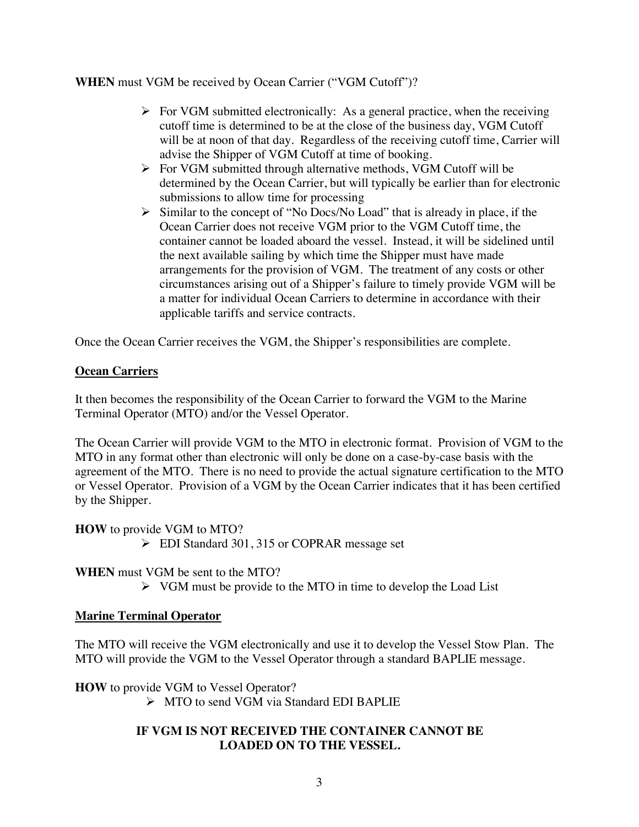#### **WHEN** must VGM be received by Ocean Carrier ("VGM Cutoff")?

- $\triangleright$  For VGM submitted electronically: As a general practice, when the receiving cutoff time is determined to be at the close of the business day, VGM Cutoff will be at noon of that day. Regardless of the receiving cutoff time, Carrier will advise the Shipper of VGM Cutoff at time of booking.
- $\triangleright$  For VGM submitted through alternative methods, VGM Cutoff will be determined by the Ocean Carrier, but will typically be earlier than for electronic submissions to allow time for processing
- $\triangleright$  Similar to the concept of "No Docs/No Load" that is already in place, if the Ocean Carrier does not receive VGM prior to the VGM Cutoff time, the container cannot be loaded aboard the vessel. Instead, it will be sidelined until the next available sailing by which time the Shipper must have made arrangements for the provision of VGM. The treatment of any costs or other circumstances arising out of a Shipper's failure to timely provide VGM will be a matter for individual Ocean Carriers to determine in accordance with their applicable tariffs and service contracts.

Once the Ocean Carrier receives the VGM, the Shipper's responsibilities are complete.

#### **Ocean Carriers**

It then becomes the responsibility of the Ocean Carrier to forward the VGM to the Marine Terminal Operator (MTO) and/or the Vessel Operator.

The Ocean Carrier will provide VGM to the MTO in electronic format. Provision of VGM to the MTO in any format other than electronic will only be done on a case-by-case basis with the agreement of the MTO. There is no need to provide the actual signature certification to the MTO or Vessel Operator. Provision of a VGM by the Ocean Carrier indicates that it has been certified by the Shipper.

**HOW** to provide VGM to MTO?

¾ EDI Standard 301, 315 or COPRAR message set

**WHEN** must VGM be sent to the MTO?

 $\triangleright$  VGM must be provide to the MTO in time to develop the Load List

#### **Marine Terminal Operator**

The MTO will receive the VGM electronically and use it to develop the Vessel Stow Plan. The MTO will provide the VGM to the Vessel Operator through a standard BAPLIE message.

**HOW** to provide VGM to Vessel Operator? ¾ MTO to send VGM via Standard EDI BAPLIE

#### **IF VGM IS NOT RECEIVED THE CONTAINER CANNOT BE LOADED ON TO THE VESSEL.**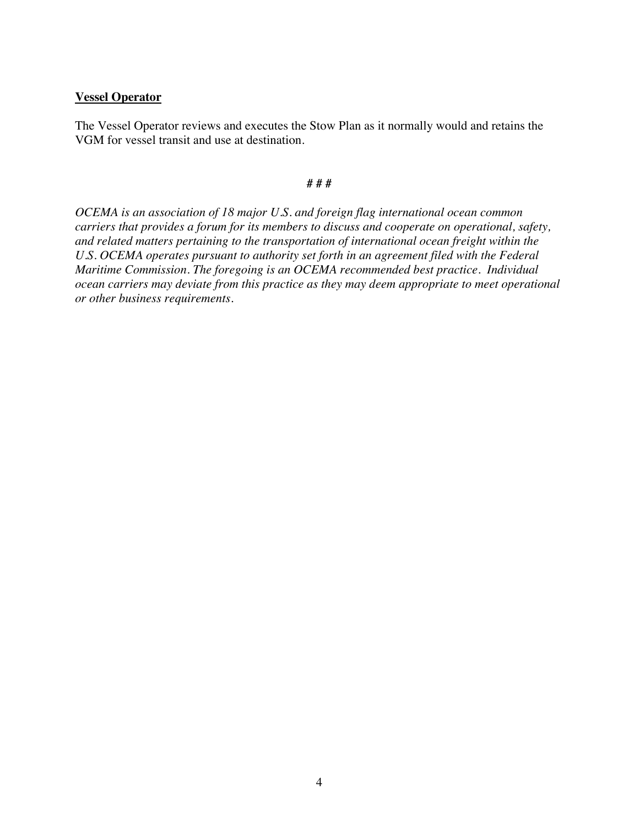#### **Vessel Operator**

The Vessel Operator reviews and executes the Stow Plan as it normally would and retains the VGM for vessel transit and use at destination.

#### **# # #**

*OCEMA is an association of 18 major U.S. and foreign flag international ocean common carriers that provides a forum for its members to discuss and cooperate on operational, safety, and related matters pertaining to the transportation of international ocean freight within the U.S. OCEMA operates pursuant to authority set forth in an agreement filed with the Federal Maritime Commission. The foregoing is an OCEMA recommended best practice. Individual ocean carriers may deviate from this practice as they may deem appropriate to meet operational or other business requirements.*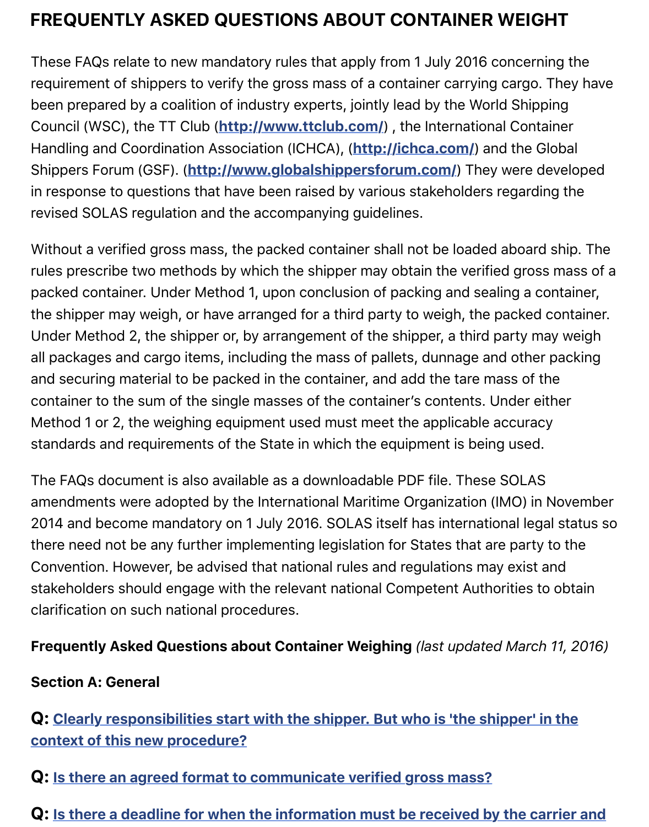## **FREQUENTLY ASKED QUESTIONS ABOUT CONTAINER WEIGHT**

These FAQs relate to new mandatory rules that apply from 1 July 2016 concerning the requirement of shippers to verify the gross mass of a container carrying cargo. They have been prepared by a coalition of industry experts, jointly lead by the World Shipping Council (WSC), the TT Club (**<http://www.ttclub.com/>**) , the International Container Handling and Coordination Association (ICHCA), (**<http://ichca.com/>**) and the Global Shippers Forum (GSF). (**<http://www.globalshippersforum.com/>**) They were developed in response to questions that have been raised by various stakeholders regarding the revised SOLAS regulation and the accompanying guidelines.

Without a verified gross mass, the packed container shall not be loaded aboard ship. The rules prescribe two methods by which the shipper may obtain the verified gross mass of a packed container. Under Method 1, upon conclusion of packing and sealing a container, the shipper may weigh, or have arranged for a third party to weigh, the packed container. Under Method 2, the shipper or, by arrangement of the shipper, a third party may weigh all packages and cargo items, including the mass of pallets, dunnage and other packing and securing material to be packed in the container, and add the tare mass of the container to the sum of the single masses of the container's contents. Under either Method 1 or 2, the weighing equipment used must meet the applicable accuracy standards and requirements of the State in which the equipment is being used.

The FAQs document is also available as a downloadable PDF file. These SOLAS amendments were adopted by the International Maritime Organization (IMO) in November 2014 and become mandatory on 1 July 2016. SOLAS itself has international legal status so there need not be any further implementing legislation for States that are party to the Convention. However, be advised that national rules and regulations may exist and stakeholders should engage with the relevant national Competent Authorities to obtain clarification on such national procedures.

### **Frequently Asked Questions about Container Weighing** *(last updated March 11, 2016)*

### **Section A: General**

**Q: [Clearly responsibilities start with the shipper. But who is 'the shipper' in the](http://www.worldshipping.org/industry-issues/safety/faqs/a1-clearly-responsibilities-start-with-the-shipper-but-who-is-the-shipper-in-the-context-of-this-new-procedure) context of this new procedure?**

**Q: [Is there an agreed format to communicate verified gross mass?](http://www.worldshipping.org/industry-issues/safety/faqs/a2-is-there-an-agreed-format-to-communicate-verified-gross-mass)**

**Q: [Is there a deadline for when the information must be received by the carrier and](http://www.worldshipping.org/industry-issues/safety/faqs/a3-is-there-a-deadline-for-when-the-information-must-be-received-by-the-carrier-and-the-terminal-operator)**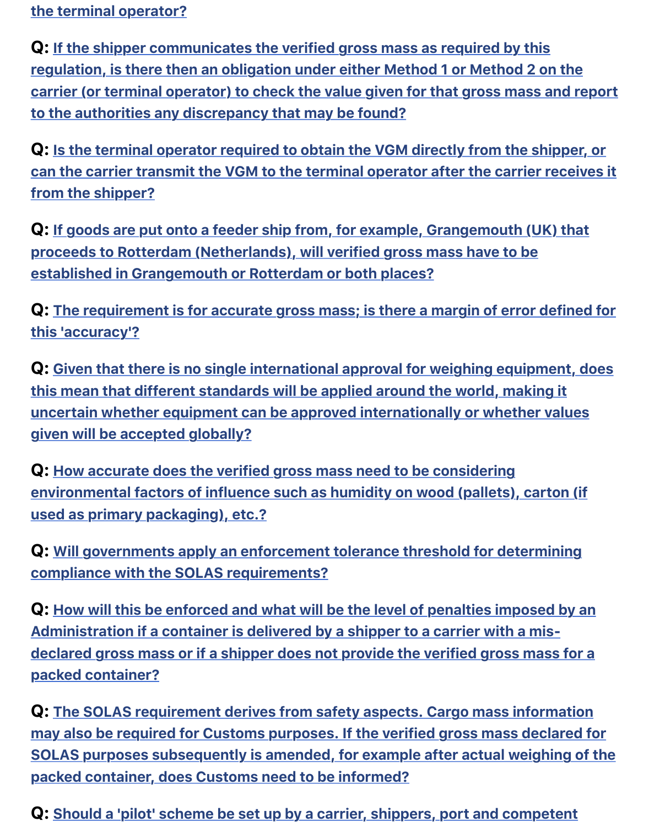**[the terminal operator?](http://www.worldshipping.org/industry-issues/safety/faqs/a3-is-there-a-deadline-for-when-the-information-must-be-received-by-the-carrier-and-the-terminal-operator)**

**Q: If the shipper communicates the verified gross mass as required by this regulation, is there then an obligation under either Method 1 or Method 2 on the [carrier \(or terminal operator\) to check the value given for that gross mass and report](http://www.worldshipping.org/industry-issues/safety/faqs/a4-is-there-then-an-obligation-to-check-the-value-given-for-that-gross-mass-and-report-to-the-authorities-any-discrepancy-that-may-be-found) to the authorities any discrepancy that may be found?**

**Q: Is the terminal operator required to obtain the VGM directly from the shipper, or [can the carrier transmit the VGM to the terminal operator after the carrier receives it](http://www.worldshipping.org/industry-issues/safety/faqs/a4_1-is-the-terminal-operator-required-to-obtain-the-vgm-directly-from-the-shipper-or-can-the-carrier-transmit-the-vgm-to-the-terminal-operator-after-the-carrier-receives-it-from-the-shipper) from the shipper?**

**Q: [If goods are put onto a feeder ship from, for example, Grangemouth \(UK\) that](http://www.worldshipping.org/industry-issues/safety/faqs/a5-if-goods-are-put-onto-a-feeder-ship-from-for-example-grangemouth-uk-that-proceeds-to-rotterdam-netherlands-will-verified-gross-mass-have-to-be-established-in-grangemouth-or-rotterdam-or-both-places) proceeds to Rotterdam (Netherlands), will verified gross mass have to be established in Grangemouth or Rotterdam or both places?**

**Q: [The requirement is for accurate gross mass; is there a margin of error defined for](http://www.worldshipping.org/industry-issues/safety/faqs/a6-the-requirement-is-for-accurate-gross-mass-is-there-a-margin-of-error-defined-for-this-accuracy) this 'accuracy'?**

**Q: [Given that there is no single international approval for weighing equipment, does](http://www.worldshipping.org/industry-issues/safety/faqs/a7-does-this-mean-that-different-standards-will-be-applied-around-the-world) this mean that different standards will be applied around the world, making it uncertain whether equipment can be approved internationally or whether values given will be accepted globally?**

**Q: How accurate does the verified gross mass need to be considering [environmental factors of influence such as humidity on wood \(pallets\), carton \(if](http://www.worldshipping.org/industry-issues/safety/faqs/a8-how-accurate-does-the-verified-gross-mass-need-to-be-considering-environmental-factors-of-influence) used as primary packaging), etc.?**

**Q: [Will governments apply an enforcement tolerance threshold for determining](http://www.worldshipping.org/industry-issues/safety/faqs/a9-will-governments-apply-an-enforcement-tolerance-threshold-for-determining-compliance-with-the-solas-requirements) compliance with the SOLAS requirements?**

**Q: How will this be enforced and what will be the level of penalties imposed by an Administration if a container is delivered by a shipper to a carrier with a mis[declared gross mass or if a shipper does not provide the verified gross mass for a](http://www.worldshipping.org/industry-issues/safety/faqs/a10-how-will-this-be-enforced-and-what-will-be-the-level-of-penalties-imposed-by-an-administration) packed container?**

**Q: The SOLAS requirement derives from safety aspects. Cargo mass information may also be required for Customs purposes. If the verified gross mass declared for [SOLAS purposes subsequently is amended, for example after actual weighing of the](http://www.worldshipping.org/industry-issues/safety/faqs/a11-if-the-verified-gross-mass-declared-for-solas-purposes-subsequently-is-amended-does-customs-need-to-be-informed) packed container, does Customs need to be informed?**

**Q: [Should a 'pilot' scheme be set up by a carrier, shippers, port and competent](http://www.worldshipping.org/industry-issues/safety/faqs/a12-should-a-pilot-scheme-be-set-up-by-a-carrier-shippers-port-and-competent-authority-to-test-the-system)**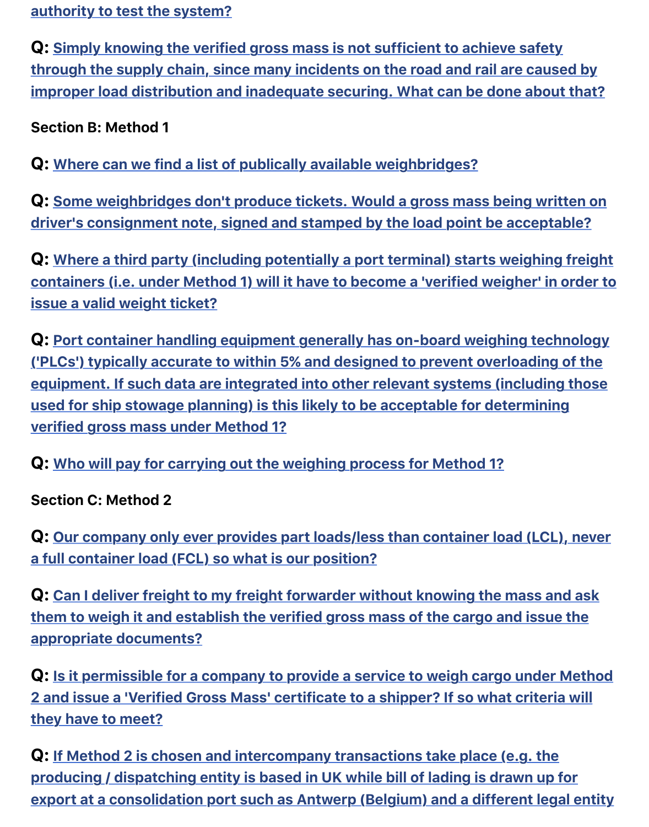**[authority to test the system?](http://www.worldshipping.org/industry-issues/safety/faqs/a12-should-a-pilot-scheme-be-set-up-by-a-carrier-shippers-port-and-competent-authority-to-test-the-system)**

**Q: Simply knowing the verified gross mass is not sufficient to achieve safety [through the supply chain, since many incidents on the road and rail are caused by](http://www.worldshipping.org/industry-issues/safety/faqs/a13-simply-knowing-the-verified-gross-mass-is-not-sufficient-to-achieve-safety-through-the-supply-chain-what-can-be-done-about-that) improper load distribution and inadequate securing. What can be done about that?**

**Section B: Method 1**

**Q: [Where can we find a list of publically available weighbridges?](http://www.worldshipping.org/industry-issues/safety/faqs/b1-where-can-we-find-a-list-of-publically-available-weighbridges)**

**Q: [Some weighbridges don't produce tickets. Would a gross mass being written on](http://www.worldshipping.org/industry-issues/safety/faqs/b2-would-a-gross-mass-being-written-on-drivers-consignment-note-signed-and-stamped-by-the-load-point-be-acceptable) driver's consignment note, signed and stamped by the load point be acceptable?**

**Q: Where a third party (including potentially a port terminal) starts weighing freight [containers \(i.e. under Method 1\) will it have to become a 'verified weigher' in order to](http://www.worldshipping.org/industry-issues/safety/faqs/b3-where-a-third-party-starts-weighing-freight-containers-will-it-have-to-become-a-verified-weigher-in-order-to-issue-a-valid-weight-ticket) issue a valid weight ticket?**

**Q: Port container handling equipment generally has on-board weighing technology ('PLCs') typically accurate to within 5% and designed to prevent overloading of the [equipment. If such data are integrated into other relevant systems \(including those](http://www.worldshipping.org/industry-issues/safety/faqs/b4-if-onboard-weighing-technology-designed-to-prevent-overloading-of-the-equipment-is-integrated-into-other-relevant-systems-is-this-likely-to-be-acceptable-for-determining-verified-gross-mass-under-method-1) used for ship stowage planning) is this likely to be acceptable for determining verified gross mass under Method 1?**

**Q: [Who will pay for carrying out the weighing process for Method 1?](http://www.worldshipping.org/industry-issues/safety/faqs/b5-who-will-pay-for-carrying-out-the-weighing-process-for-method-1)**

**Section C: Method 2**

**Q: [Our company only ever provides part loads/less than container load \(LCL\), never](http://www.worldshipping.org/industry-issues/safety/faqs/c1-our-company-only-ever-provides-part-loadsless-than-container-load-lcl-never-a-full-container-load-fcl-so-what-is-our-position) a full container load (FCL) so what is our position?**

**Q: Can I deliver freight to my freight forwarder without knowing the mass and ask [them to weigh it and establish the verified gross mass of the cargo and issue the](http://www.worldshipping.org/industry-issues/safety/faqs/c2-can-i-deliver-freight-to-my-freight-forwarder-without-knowing-the-mass-and-ask-them-to-weigh-it-and-establish-the-verified-gross-mass-of-the-cargo-and-issue-the-appropriate-documents) appropriate documents?**

**Q: Is it permissible for a company to provide a service to weigh cargo under Method [2 and issue a 'Verified Gross Mass' certificate to a shipper? If so what criteria will](http://www.worldshipping.org/industry-issues/safety/faqs/c3-is-it-permissible-for-a-company-to-provide-a-service-to-weigh-cargo-under-method-2-and-issue-a-verified-gross-mass-certificate-to-a-shipper) they have to meet?**

**Q: If Method 2 is chosen and intercompany transactions take place (e.g. the producing / dispatching entity is based in UK while bill of lading is drawn up for [export at a consolidation port such as Antwerp \(Belgium\) and a different legal entity](http://www.worldshipping.org/industry-issues/safety/faqs/c4-if-method-2-is-chosen-and-intercompany-transactions-take-place-which-legal-entity-should-comply-with-any-national-rules-and-regulations-regarding-method-2)**